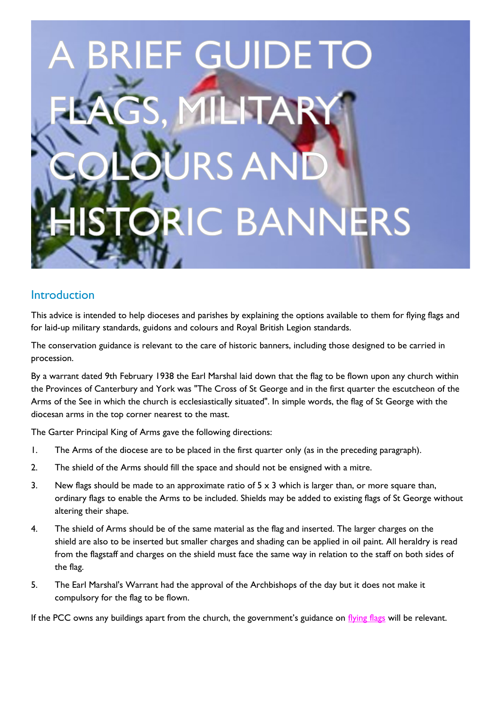# **BRIEF GUIDET C BANNERS**

# **Introduction**

This advice is intended to help dioceses and parishes by explaining the options available to them for flying flags and for laid-up military standards, guidons and colours and Royal British Legion standards.

The conservation guidance is relevant to the care of historic banners, including those designed to be carried in procession.

By a warrant dated 9th February 1938 the Earl Marshal laid down that the flag to be flown upon any church within the Provinces of Canterbury and York was "The Cross of St George and in the first quarter the escutcheon of the Arms of the See in which the church is ecclesiastically situated". In simple words, the flag of St George with the diocesan arms in the top corner nearest to the mast.

The Garter Principal King of Arms gave the following directions:

- 1. The Arms of the diocese are to be placed in the first quarter only (as in the preceding paragraph).
- 2. The shield of the Arms should fill the space and should not be ensigned with a mitre.
- 3. New flags should be made to an approximate ratio of  $5 \times 3$  which is larger than, or more square than, ordinary flags to enable the Arms to be included. Shields may be added to existing flags of St George without altering their shape.
- 4. The shield of Arms should be of the same material as the flag and inserted. The larger charges on the shield are also to be inserted but smaller charges and shading can be applied in oil paint. All heraldry is read from the flagstaff and charges on the shield must face the same way in relation to the staff on both sides of the flag.
- 5. The Earl Marshal's Warrant had the approval of the Archbishops of the day but it does not make it compulsory for the flag to be flown.

If the PCC owns any buildings apart from the church, the government's guidance on [flying flags](https://www.gov.uk/government/publications/flying-flags-a-plain-english-guide) will be relevant.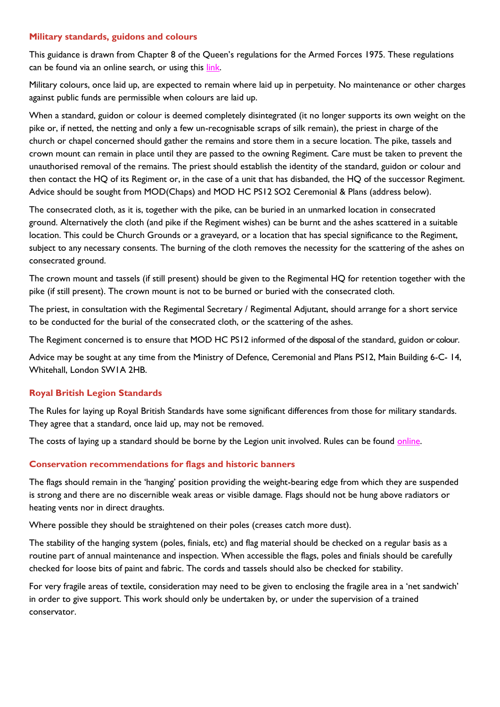## **Military standards, guidons and colours**

This guidance is drawn from Chapter 8 of the Queen's regulations for the Armed Forces 1975. These regulations can be found via an online search, or using this link.

Military colours, once laid up, are expected to remain where laid up in perpetuity. No maintenance or other charges against public funds are permissible when colours are laid up.

When a standard, guidon or colour is deemed completely disintegrated (it no longer supports its own weight on the pike or, if netted, the netting and only a few un-recognisable scraps of silk remain), the priest in charge of the church or chapel concerned should gather the remains and store them in a secure location. The pike, tassels and crown mount can remain in place until they are passed to the owning Regiment. Care must be taken to prevent the unauthorised removal of the remains. The priest should establish the identity of the standard, guidon or colour and then contact the HQ of its Regiment or, in the case of a unit that has disbanded, the HQ of the successor Regiment. Advice should be sought from MOD(Chaps) and MOD HC PS12 SO2 Ceremonial & Plans (address below).

The consecrated cloth, as it is, together with the pike, can be buried in an unmarked location in consecrated ground. Alternatively the cloth (and pike if the Regiment wishes) can be burnt and the ashes scattered in a suitable location. This could be Church Grounds or a graveyard, or a location that has special significance to the Regiment, subject to any necessary consents. The burning of the cloth removes the necessity for the scattering of the ashes on consecrated ground.

The crown mount and tassels (if still present) should be given to the Regimental HQ for retention together with the pike (if still present). The crown mount is not to be burned or buried with the consecrated cloth.

The priest, in consultation with the Regimental Secretary / Regimental Adjutant, should arrange for a short service to be conducted for the burial of the consecrated cloth, or the scattering of the ashes.

The Regiment concerned is to ensure that MOD HC PS12 informed of the disposal of the standard, guidon or colour.

Advice may be sought at any time from the Ministry of Defence, Ceremonial and Plans PS12, Main Building 6-C- 14, Whitehall, London SW1A 2HB.

# **Royal British Legion Standards**

The Rules for laying up Royal British Standards have some significant differences from those for military standards. They agree that a standard, once laid up, may not be removed.

The costs of laying up a standard should be borne by the Legion unit involved. Rules can be found [online.](https://support.britishlegion.org.uk/app/answers/detail/a_id/152/~/the-royal-british-legion-standards)

## **Conservation recommendations for flags and historic banners**

The flags should remain in the 'hanging' position providing the weight-bearing edge from which they are suspended is strong and there are no discernible weak areas or visible damage. Flags should not be hung above radiators or heating vents nor in direct draughts.

Where possible they should be straightened on their poles (creases catch more dust).

The stability of the hanging system (poles, finials, etc) and flag material should be checked on a regular basis as a routine part of annual maintenance and inspection. When accessible the flags, poles and finials should be carefully checked for loose bits of paint and fabric. The cords and tassels should also be checked for stability.

For very fragile areas of textile, consideration may need to be given to enclosing the fragile area in a 'net sandwich' in order to give support. This work should only be undertaken by, or under the supervision of a trained conservator.